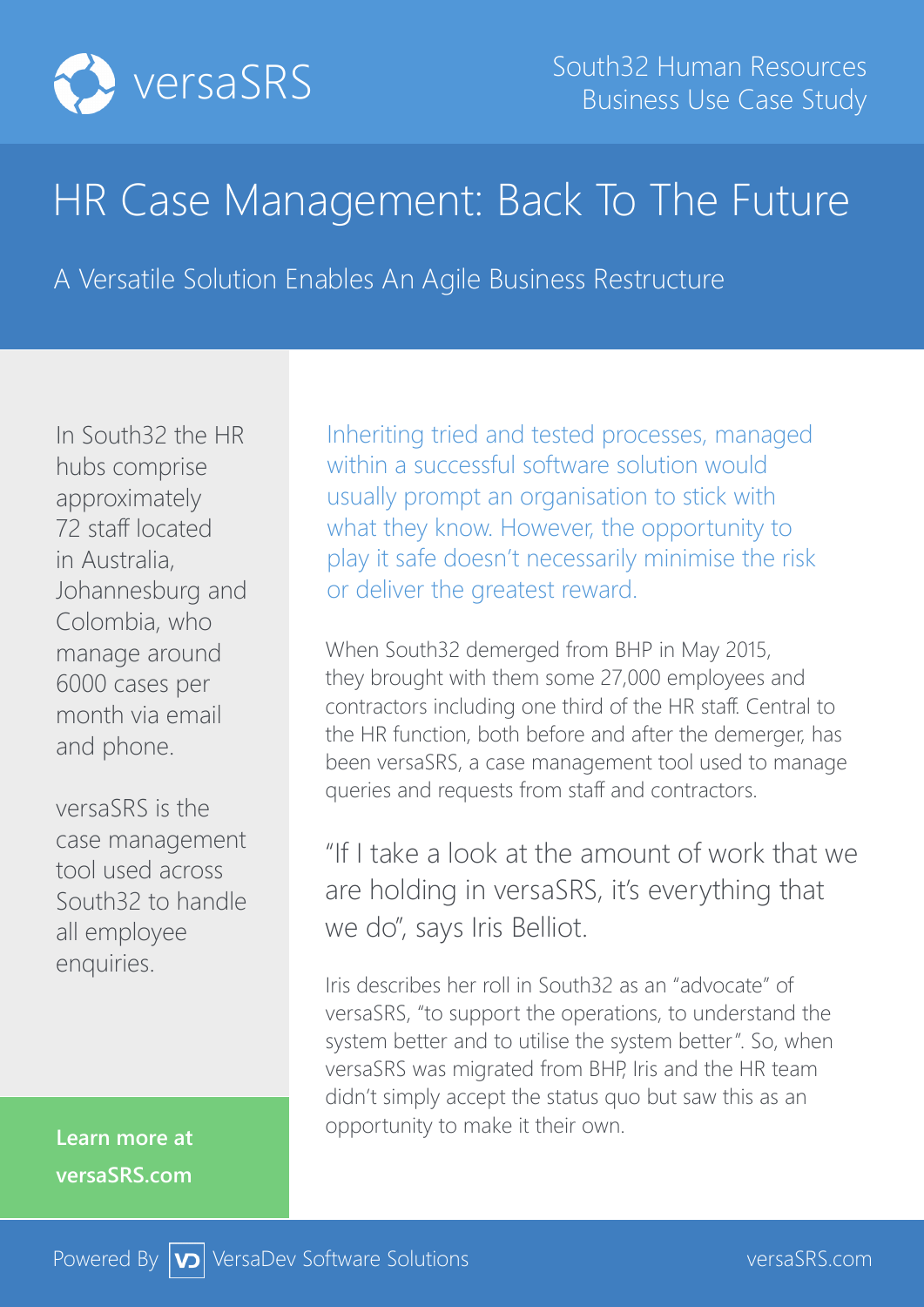

## HR Case Management: Back To The Future

A Versatile Solution Enables An Agile Business Restructure

In South32 the HR hubs comprise approximately 72 staff located in Australia, Johannesburg and Colombia, who manage around 6000 cases per month via email and phone.

versaSRS is the case management tool used across South32 to handle all employee enquiries.

**Learn more at versaSRS.com**

Inheriting tried and tested processes, managed within a successful software solution would usually prompt an organisation to stick with what they know. However, the opportunity to play it safe doesn't necessarily minimise the risk or deliver the greatest reward.

When South32 demerged from BHP in May 2015, they brought with them some 27,000 employees and contractors including one third of the HR staff. Central to the HR function, both before and after the demerger, has been versaSRS, a case management tool used to manage queries and requests from staff and contractors.

"If I take a look at the amount of work that we are holding in versaSRS, it's everything that we do", says Iris Belliot.

Iris describes her roll in South32 as an "advocate" of versaSRS, "to support the operations, to understand the system better and to utilise the system better". So, when versaSRS was migrated from BHP, Iris and the HR team didn't simply accept the status quo but saw this as an opportunity to make it their own.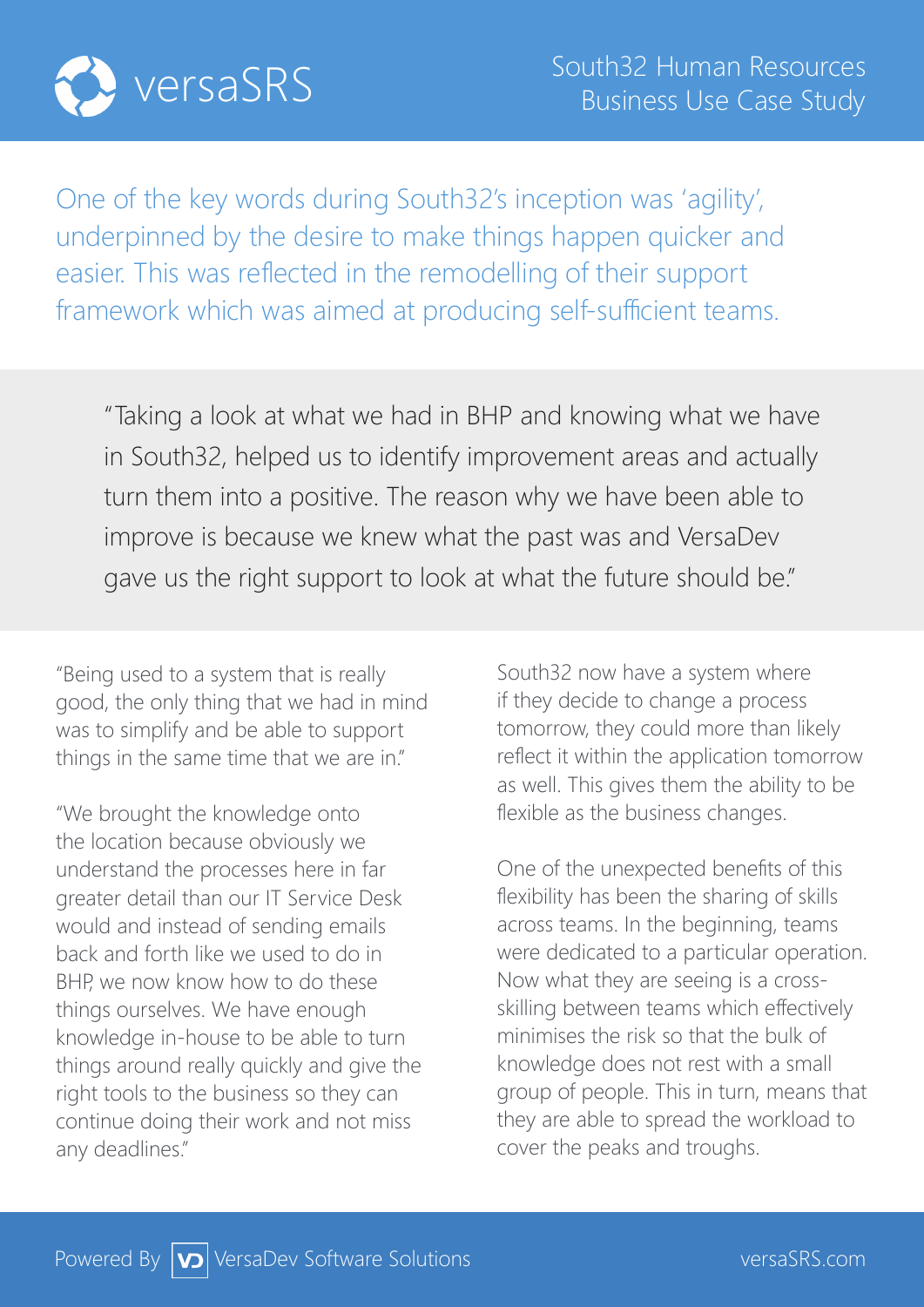

One of the key words during South32's inception was 'agility', underpinned by the desire to make things happen quicker and easier. This was reflected in the remodelling of their support framework which was aimed at producing self-sufficient teams.

"Taking a look at what we had in BHP and knowing what we have in South32, helped us to identify improvement areas and actually turn them into a positive. The reason why we have been able to improve is because we knew what the past was and VersaDev gave us the right support to look at what the future should be."

"Being used to a system that is really good, the only thing that we had in mind was to simplify and be able to support things in the same time that we are in."

"We brought the knowledge onto the location because obviously we understand the processes here in far greater detail than our IT Service Desk would and instead of sending emails back and forth like we used to do in BHP, we now know how to do these things ourselves. We have enough knowledge in-house to be able to turn things around really quickly and give the right tools to the business so they can continue doing their work and not miss any deadlines."

South32 now have a system where if they decide to change a process tomorrow, they could more than likely reflect it within the application tomorrow as well. This gives them the ability to be flexible as the business changes.

One of the unexpected benefits of this flexibility has been the sharing of skills across teams. In the beginning, teams were dedicated to a particular operation. Now what they are seeing is a crossskilling between teams which effectively minimises the risk so that the bulk of knowledge does not rest with a small group of people. This in turn, means that they are able to spread the workload to cover the peaks and troughs.